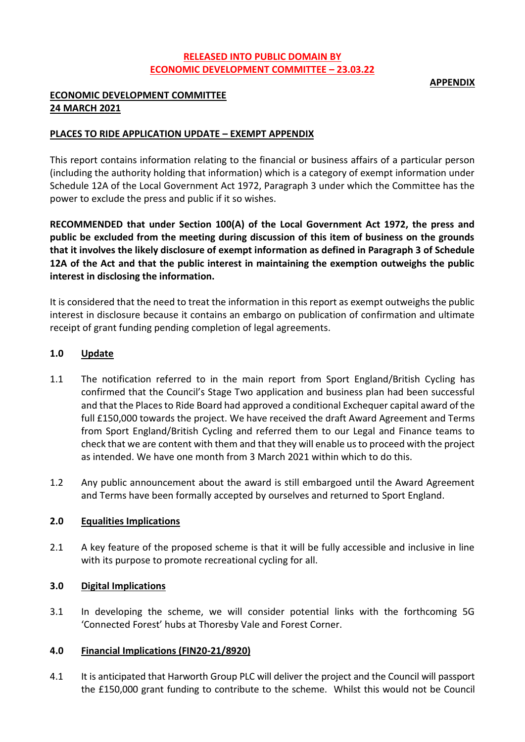# **RELEASED INTO PUBLIC DOMAIN BY ECONOMIC DEVELOPMENT COMMITTEE – 23.03.22**

### **APPENDIX**

# **ECONOMIC DEVELOPMENT COMMITTEE 24 MARCH 2021**

# **PLACES TO RIDE APPLICATION UPDATE – EXEMPT APPENDIX**

This report contains information relating to the financial or business affairs of a particular person (including the authority holding that information) which is a category of exempt information under Schedule 12A of the Local Government Act 1972, Paragraph 3 under which the Committee has the power to exclude the press and public if it so wishes.

**RECOMMENDED that under Section 100(A) of the Local Government Act 1972, the press and public be excluded from the meeting during discussion of this item of business on the grounds that it involves the likely disclosure of exempt information as defined in Paragraph 3 of Schedule 12A of the Act and that the public interest in maintaining the exemption outweighs the public interest in disclosing the information.**

It is considered that the need to treat the information in this report as exempt outweighs the public interest in disclosure because it contains an embargo on publication of confirmation and ultimate receipt of grant funding pending completion of legal agreements.

## **1.0 Update**

- 1.1 The notification referred to in the main report from Sport England/British Cycling has confirmed that the Council's Stage Two application and business plan had been successful and that the Places to Ride Board had approved a conditional Exchequer capital award of the full £150,000 towards the project. We have received the draft Award Agreement and Terms from Sport England/British Cycling and referred them to our Legal and Finance teams to check that we are content with them and that they will enable us to proceed with the project as intended. We have one month from 3 March 2021 within which to do this.
- 1.2 Any public announcement about the award is still embargoed until the Award Agreement and Terms have been formally accepted by ourselves and returned to Sport England.

#### **2.0 Equalities Implications**

2.1 A key feature of the proposed scheme is that it will be fully accessible and inclusive in line with its purpose to promote recreational cycling for all.

## **3.0 Digital Implications**

3.1 In developing the scheme, we will consider potential links with the forthcoming 5G 'Connected Forest' hubs at Thoresby Vale and Forest Corner.

#### **4.0 Financial Implications (FIN20-21/8920)**

4.1 It is anticipated that Harworth Group PLC will deliver the project and the Council will passport the £150,000 grant funding to contribute to the scheme. Whilst this would not be Council